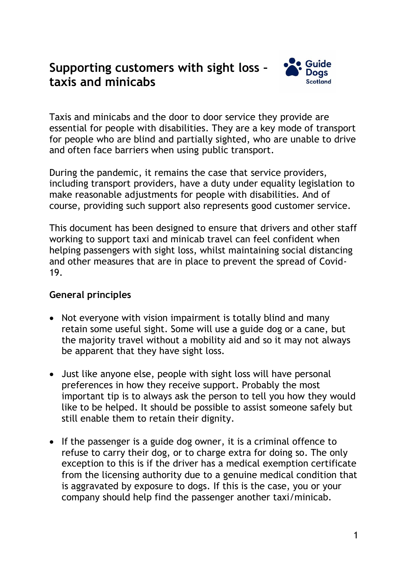## **Supporting customers with sight loss – taxis and minicabs**



Taxis and minicabs and the door to door service they provide are essential for people with disabilities. They are a key mode of transport for people who are blind and partially sighted, who are unable to drive and often face barriers when using public transport.

During the pandemic, it remains the case that service providers, including transport providers, have a duty under equality legislation to make reasonable adjustments for people with disabilities. And of course, providing such support also represents good customer service.

This document has been designed to ensure that drivers and other staff working to support taxi and minicab travel can feel confident when helping passengers with sight loss, whilst maintaining social distancing and other measures that are in place to prevent the spread of Covid-19.

## **General principles**

- Not everyone with vision impairment is totally blind and many retain some useful sight. Some will use a guide dog or a cane, but the majority travel without a mobility aid and so it may not always be apparent that they have sight loss.
- Just like anyone else, people with sight loss will have personal preferences in how they receive support. Probably the most important tip is to always ask the person to tell you how they would like to be helped. It should be possible to assist someone safely but still enable them to retain their dignity.
- If the passenger is a guide dog owner, it is a criminal offence to refuse to carry their dog, or to charge extra for doing so. The only exception to this is if the driver has a medical exemption certificate from the licensing authority due to a genuine medical condition that is aggravated by exposure to dogs. If this is the case, you or your company should help find the passenger another taxi/minicab.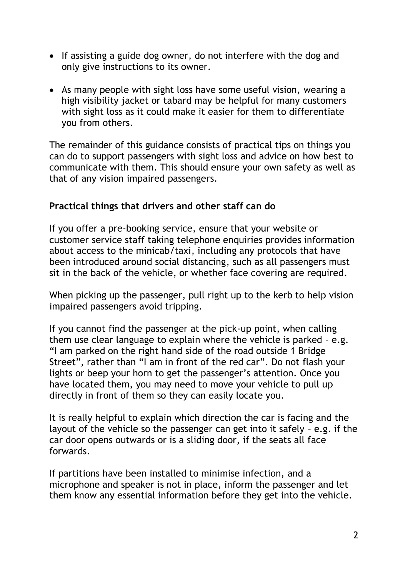- If assisting a guide dog owner, do not interfere with the dog and only give instructions to its owner.
- As many people with sight loss have some useful vision, wearing a high visibility jacket or tabard may be helpful for many customers with sight loss as it could make it easier for them to differentiate you from others.

The remainder of this guidance consists of practical tips on things you can do to support passengers with sight loss and advice on how best to communicate with them. This should ensure your own safety as well as that of any vision impaired passengers.

## **Practical things that drivers and other staff can do**

If you offer a pre-booking service, ensure that your website or customer service staff taking telephone enquiries provides information about access to the minicab/taxi, including any protocols that have been introduced around social distancing, such as all passengers must sit in the back of the vehicle, or whether face covering are required.

When picking up the passenger, pull right up to the kerb to help vision impaired passengers avoid tripping.

If you cannot find the passenger at the pick-up point, when calling them use clear language to explain where the vehicle is parked – e.g. "I am parked on the right hand side of the road outside 1 Bridge Street", rather than "I am in front of the red car". Do not flash your lights or beep your horn to get the passenger's attention. Once you have located them, you may need to move your vehicle to pull up directly in front of them so they can easily locate you.

It is really helpful to explain which direction the car is facing and the layout of the vehicle so the passenger can get into it safely – e.g. if the car door opens outwards or is a sliding door, if the seats all face forwards.

If partitions have been installed to minimise infection, and a microphone and speaker is not in place, inform the passenger and let them know any essential information before they get into the vehicle.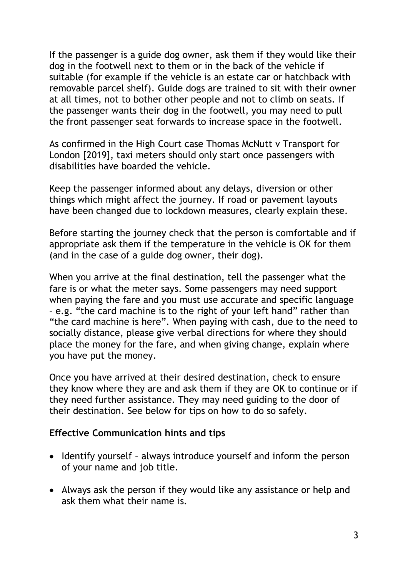If the passenger is a guide dog owner, ask them if they would like their dog in the footwell next to them or in the back of the vehicle if suitable (for example if the vehicle is an estate car or hatchback with removable parcel shelf). Guide dogs are trained to sit with their owner at all times, not to bother other people and not to climb on seats. If the passenger wants their dog in the footwell, you may need to pull the front passenger seat forwards to increase space in the footwell.

As confirmed in the High Court case Thomas McNutt v Transport for London [2019], taxi meters should only start once passengers with disabilities have boarded the vehicle.

Keep the passenger informed about any delays, diversion or other things which might affect the journey. If road or pavement layouts have been changed due to lockdown measures, clearly explain these.

Before starting the journey check that the person is comfortable and if appropriate ask them if the temperature in the vehicle is OK for them (and in the case of a guide dog owner, their dog).

When you arrive at the final destination, tell the passenger what the fare is or what the meter says. Some passengers may need support when paying the fare and you must use accurate and specific language – e.g. "the card machine is to the right of your left hand" rather than "the card machine is here". When paying with cash, due to the need to socially distance, please give verbal directions for where they should place the money for the fare, and when giving change, explain where you have put the money.

Once you have arrived at their desired destination, check to ensure they know where they are and ask them if they are OK to continue or if they need further assistance. They may need guiding to the door of their destination. See below for tips on how to do so safely.

## **Effective Communication hints and tips**

- Identify yourself always introduce yourself and inform the person of your name and job title.
- Always ask the person if they would like any assistance or help and ask them what their name is.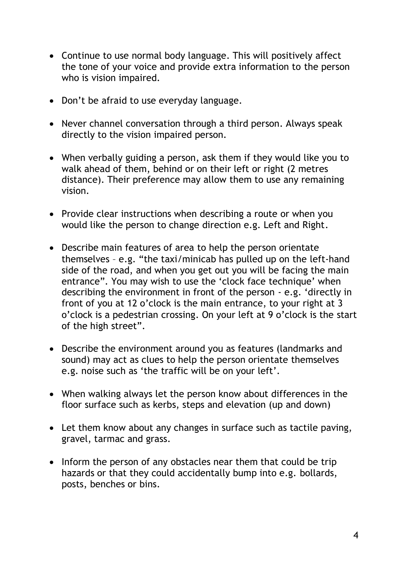- Continue to use normal body language. This will positively affect the tone of your voice and provide extra information to the person who is vision impaired.
- Don't be afraid to use everyday language.
- Never channel conversation through a third person. Always speak directly to the vision impaired person.
- When verbally guiding a person, ask them if they would like you to walk ahead of them, behind or on their left or right (2 metres distance). Their preference may allow them to use any remaining vision.
- Provide clear instructions when describing a route or when you would like the person to change direction e.g. Left and Right.
- Describe main features of area to help the person orientate themselves – e.g. "the taxi/minicab has pulled up on the left-hand side of the road, and when you get out you will be facing the main entrance". You may wish to use the 'clock face technique' when describing the environment in front of the person - e.g. 'directly in front of you at 12 o'clock is the main entrance, to your right at 3 o'clock is a pedestrian crossing. On your left at 9 o'clock is the start of the high street".
- Describe the environment around you as features (landmarks and sound) may act as clues to help the person orientate themselves e.g. noise such as 'the traffic will be on your left'.
- When walking always let the person know about differences in the floor surface such as kerbs, steps and elevation (up and down)
- Let them know about any changes in surface such as tactile paving, gravel, tarmac and grass.
- Inform the person of any obstacles near them that could be trip hazards or that they could accidentally bump into e.g. bollards, posts, benches or bins.